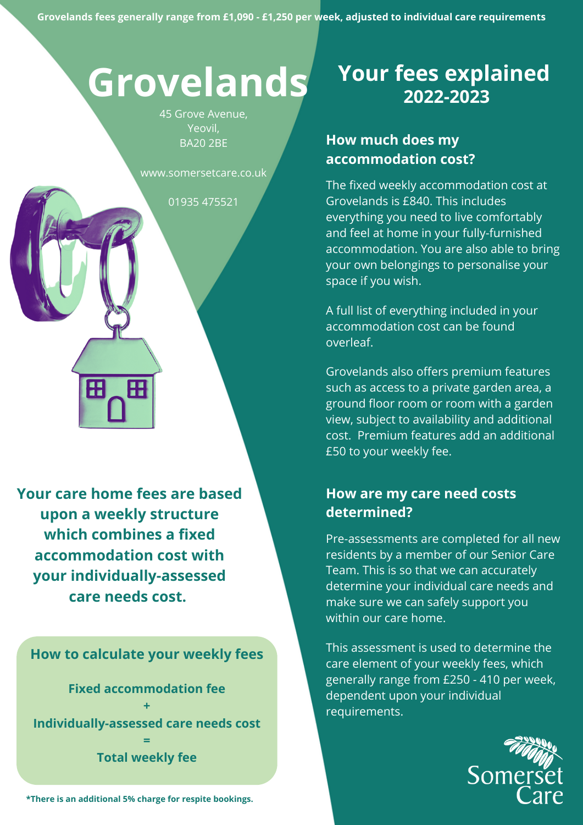# **Grovelands**

45 Grove Avenue, Yeovil, BA20 2BE

www.somersetcare.co.uk

01935 475521

**Your care home fees are based upon a weekly structure which combines a fixed accommodation cost with your individually-assessed care needs cost.**

Æ

H

**How to calculate your weekly fees**

**Fixed accommodation fee + Individually-assessed care needs cost = Total weekly fee**

**\*There is an additional 5% charge for respite bookings.**

# **Your fees explained 2022-2023**

## **How much does my accommodation cost?**

The fixed weekly accommodation cost at Grovelands is £840. This includes everything you need to live comfortably and feel at home in your fully-furnished accommodation. You are also able to bring your own belongings to personalise your space if you wish.

A full list of everything included in your accommodation cost can be found overleaf.

Grovelands also offers premium features such as access to a private garden area, a ground floor room or room with a garden view, subject to availability and additional cost. Premium features add an additional £50 to your weekly fee.

### **How are my care need costs determined?**

Pre-assessments are completed for all new residents by a member of our Senior Care Team. This is so that we can accurately determine your individual care needs and make sure we can safely support you within our care home.

This assessment is used to determine the care element of your weekly fees, which generally range from £250 - 410 per week, dependent upon your individual requirements.